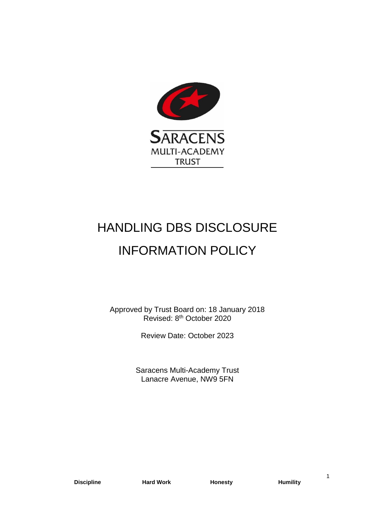

# HANDLING DBS DISCLOSURE INFORMATION POLICY

Approved by Trust Board on: 18 January 2018 Revised: 8<sup>th</sup> October 2020

Review Date: October 2023

Saracens Multi-Academy Trust Lanacre Avenue, NW9 5FN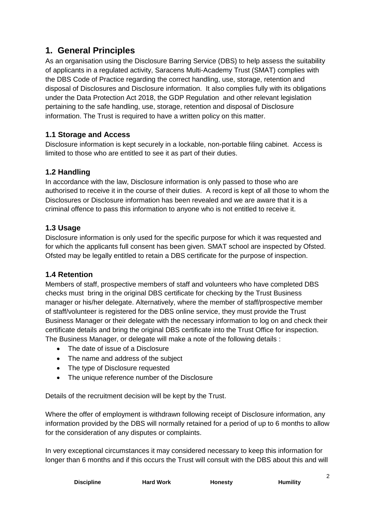# **1. General Principles**

As an organisation using the Disclosure Barring Service (DBS) to help assess the suitability of applicants in a regulated activity, Saracens Multi-Academy Trust (SMAT) complies with the DBS Code of Practice regarding the correct handling, use, storage, retention and disposal of Disclosures and Disclosure information. It also complies fully with its obligations under the Data Protection Act 2018, the GDP Regulation and other relevant legislation pertaining to the safe handling, use, storage, retention and disposal of Disclosure information. The Trust is required to have a written policy on this matter.

# **1.1 Storage and Access**

Disclosure information is kept securely in a lockable, non-portable filing cabinet. Access is limited to those who are entitled to see it as part of their duties.

# **1.2 Handling**

In accordance with the law, Disclosure information is only passed to those who are authorised to receive it in the course of their duties. A record is kept of all those to whom the Disclosures or Disclosure information has been revealed and we are aware that it is a criminal offence to pass this information to anyone who is not entitled to receive it.

# **1.3 Usage**

Disclosure information is only used for the specific purpose for which it was requested and for which the applicants full consent has been given. SMAT school are inspected by Ofsted. Ofsted may be legally entitled to retain a DBS certificate for the purpose of inspection.

#### **1.4 Retention**

Members of staff, prospective members of staff and volunteers who have completed DBS checks must bring in the original DBS certificate for checking by the Trust Business manager or his/her delegate. Alternatively, where the member of staff/prospective member of staff/volunteer is registered for the DBS online service, they must provide the Trust Business Manager or their delegate with the necessary information to log on and check their certificate details and bring the original DBS certificate into the Trust Office for inspection. The Business Manager, or delegate will make a note of the following details :

- The date of issue of a Disclosure
- The name and address of the subject
- The type of Disclosure requested
- The unique reference number of the Disclosure

Details of the recruitment decision will be kept by the Trust.

Where the offer of employment is withdrawn following receipt of Disclosure information, any information provided by the DBS will normally retained for a period of up to 6 months to allow for the consideration of any disputes or complaints.

In very exceptional circumstances it may considered necessary to keep this information for longer than 6 months and if this occurs the Trust will consult with the DBS about this and will

| <b>Discipline</b> | <b>Hard Work</b> | <b>Honesty</b> | <b>Humility</b> |
|-------------------|------------------|----------------|-----------------|

 $\sim$